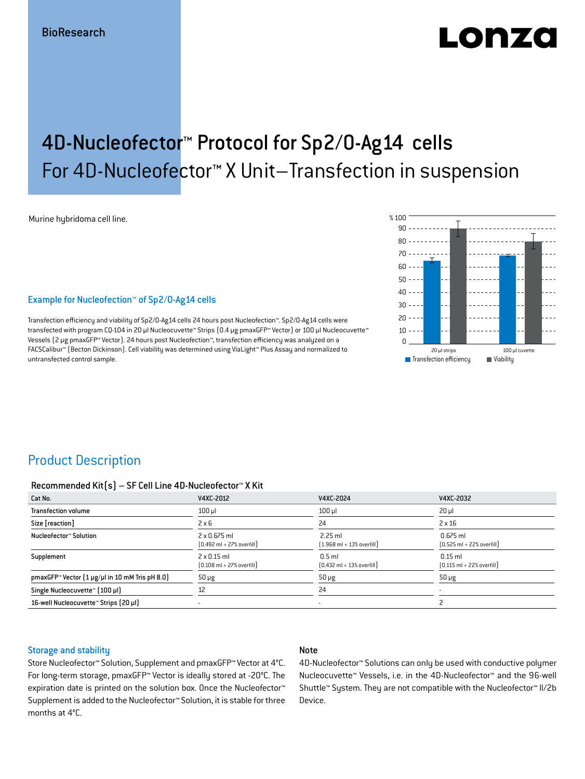# LONZO

## 4D-Nucleofector™ Protocol for Sp2/0-Ag14 cells For 4D-Nucleofector™ X Unit–Transfection in suspension

Murine hybridoma cell line.

### Example for Nucleofection™ of Sp2/0-Ag14 cells

Transfection efficiency and viability of Sp2/0-Ag14 cells 24 hours post Nucleofection™. Sp2/0-Ag14 cells were transfected with program CQ-104 in 20 μl Nucleocuvette™ Strips (0.4 μg pmaxGFP™ Vector) or 100 μl Nucleocuvette™ Vessels (2 μg pmaxGFP™ Vector). 24 hours post Nucleofection™, transfection efficiency was analyzed on a FACSCalibur™ (Becton Dickinson). Cell viability was determined using ViaLight™ Plus Assay and normalized to untransfected control sample.



### Product Description

#### Recommended Kit(s) – SF Cell Line 4D-Nucleofector™ X Kit

| Cat No.                                                           | V4XC-2012                                                           | V4XC-2024                                                 | V4XC-2032                                                  |
|-------------------------------------------------------------------|---------------------------------------------------------------------|-----------------------------------------------------------|------------------------------------------------------------|
| <b>Transfection volume</b>                                        | $100$ $\mu$                                                         | $100$ $\mu$                                               | $20 \mu$                                                   |
| Size [reaction]                                                   | $2 \times 6$                                                        | 24                                                        | $2 \times 16$                                              |
| Nucleofector™ Solution                                            | $2 \times 0.675$ ml<br>$[0.492 \text{ ml} + 27\% \text{ overfill}]$ | $2.25$ ml<br>$[1.968 \text{ ml} + 13\% \text{ overfill}]$ | $0.675$ ml<br>$[0.525 \text{ ml} + 22\% \text{ overfill}]$ |
| Supplement                                                        | $2 \times 0.15$ ml<br>$[0.108 \text{ ml} + 27\% \text{ overfill}]$  | $0.5$ ml<br>$[0.432 \text{ ml} + 13\% \text{ overfill}]$  | $0.15$ ml<br>$[0.115 \text{ ml} + 22\% \text{ overfill}]$  |
| pmaxGFP <sup>*</sup> Vector $[1 \mu g/\mu]$ in 10 mM Tris pH 8.0) | $50 \mu g$                                                          | $50 \mu g$                                                | $50 \mu g$                                                 |
| Single Nucleocuvette™ (100 µl)                                    | 12                                                                  | 24                                                        |                                                            |
| 16-well Nucleocuvette™ Strips [20 µl]                             | $\overline{\phantom{a}}$                                            |                                                           |                                                            |

#### Storage and stability

### Note

Store Nucleofector™ Solution, Supplement and pmaxGFP™ Vector at 4°C. For long-term storage, pmaxGFP™ Vector is ideally stored at -20°C. The expiration date is printed on the solution box. Once the Nucleofector™ Supplement is added to the Nucleofector™ Solution, it is stable for three months at 4°C.

4D-Nucleofector™ Solutions can only be used with conductive polymer Nucleocuvette™ Vessels, i.e. in the 4D-Nucleofector™ and the 96-well Shuttle™ System. They are not compatible with the Nucleofector™ II/2b Device.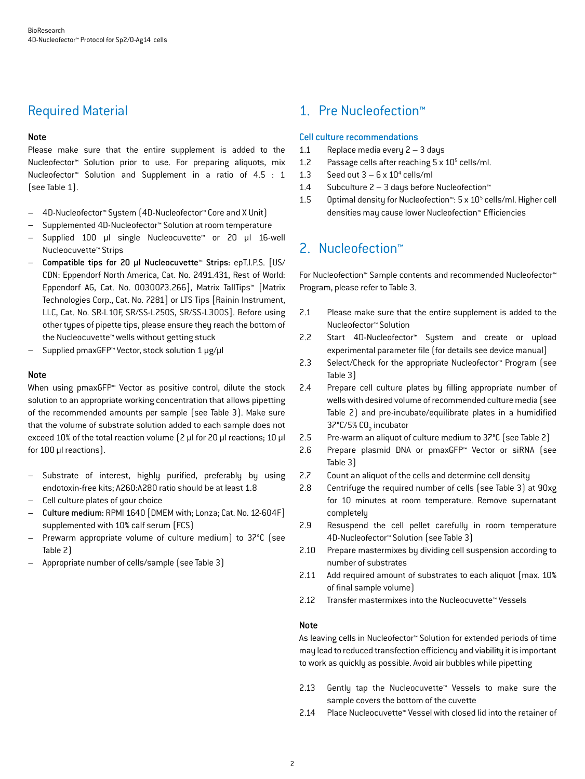### Required Material

### Note

Please make sure that the entire supplement is added to the Nucleofector™ Solution prior to use. For preparing aliquots, mix Nucleofector™ Solution and Supplement in a ratio of 4.5 : 1 (see Table 1).

- 4D-Nucleofector™ System (4D-Nucleofector™ Core and X Unit)
- Supplemented 4D-Nucleofector™ Solution at room temperature
- Supplied 100 µl single Nucleocuvette™ or 20 µl 16-well Nucleocuvette™ Strips
- Compatible tips for 20 µl Nucleocuvette™ Strips: epT.I.P.S. [US/ CDN: Eppendorf North America, Cat. No. 2491.431, Rest of World: Eppendorf AG, Cat. No. 0030073.266], Matrix TallTips™ [Matrix Technologies Corp., Cat. No. 7281] or LTS Tips [Rainin Instrument, LLC, Cat. No. SR-L10F, SR/SS-L250S, SR/SS-L300S]. Before using other types of pipette tips, please ensure they reach the bottom of the Nucleocuvette™ wells without getting stuck
- Supplied pmaxGFP™ Vector, stock solution 1 μg/μl

### **Note**

When using pmaxGFP<sup>™</sup> Vector as positive control, dilute the stock solution to an appropriate working concentration that allows pipetting of the recommended amounts per sample (see Table 3). Make sure that the volume of substrate solution added to each sample does not exceed 10% of the total reaction volume (2 μl for 20 μl reactions; 10 μl for 100 μl reactions).

- Substrate of interest, highly purified, preferably by using endotoxin-free kits; A260:A280 ratio should be at least 1.8
- Cell culture plates of your choice
- Culture medium: RPMI 1640 [DMEM with; Lonza; Cat. No. 12-604F] supplemented with 10% calf serum (FCS)
- Prewarm appropriate volume of culture medium) to 37°C (see Table 2)
- Appropriate number of cells/sample (see Table 3)

### 1. Pre Nucleofection™

### Cell culture recommendations

- 1.1 Replace media every 2 3 days
- 1.2 Passage cells after reaching  $5 \times 10^5$  cells/ml.
- 1.3 Seed out  $3 6 \times 10^4$  cells/ml
- 1.4 Subculture 2 3 days before Nucleofection™
- 1.5 Optimal density for Nucleofection<sup>™</sup>: 5 x 10<sup>5</sup> cells/ml. Higher cell densities may cause lower Nucleofection™ Efficiencies

### 2. Nucleofection™

For Nucleofection™ Sample contents and recommended Nucleofector™ Program, please refer to Table 3.

- 2.1 Please make sure that the entire supplement is added to the Nucleofector™ Solution
- 2.2 Start 4D-Nucleofector™ System and create or upload experimental parameter file (for details see device manual)
- 2.3 Select/Check for the appropriate Nucleofector™ Program (see Table 3)
- 2.4 Prepare cell culture plates by filling appropriate number of wells with desired volume of recommended culture media (see Table 2) and pre-incubate/equilibrate plates in a humidified 37°C/5% CO<sub>2</sub> incubator
- 2.5 Pre-warm an aliquot of culture medium to 37°C (see Table 2)
- 2.6 Prepare plasmid DNA or pmaxGFP™ Vector or siRNA (see Table 3)
- 2.7 Count an aliquot of the cells and determine cell density
- 2.8 Centrifuge the required number of cells (see Table 3) at 90xg for 10 minutes at room temperature. Remove supernatant completely
- 2.9 Resuspend the cell pellet carefully in room temperature 4D-Nucleofector™ Solution (see Table 3)
- 2.10 Prepare mastermixes by dividing cell suspension according to number of substrates
- 2.11 Add required amount of substrates to each aliquot (max. 10% of final sample volume)
- 2.12 Transfer mastermixes into the Nucleocuvette™ Vessels

### Note

As leaving cells in Nucleofector™ Solution for extended periods of time may lead to reduced transfection efficiency and viability it is important to work as quickly as possible. Avoid air bubbles while pipetting

- 2.13 Gently tap the Nucleocuvette™ Vessels to make sure the sample covers the bottom of the cuvette
- 2.14 Place Nucleocuvette™ Vessel with closed lid into the retainer of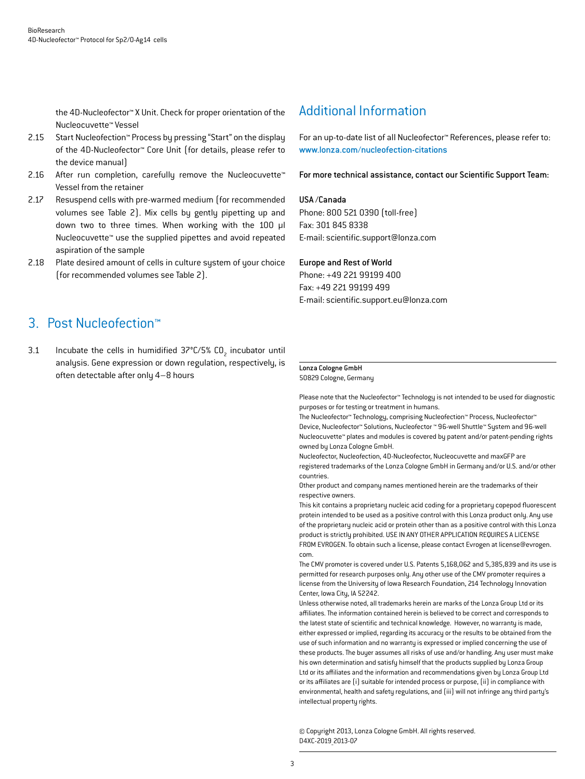the 4D-Nucleofector™ X Unit. Check for proper orientation of the Nucleocuvette™ Vessel

- 2.15 Start Nucleofection™ Process by pressing "Start" on the display of the 4D-Nucleofector™ Core Unit (for details, please refer to the device manual)
- 2.16 After run completion, carefully remove the Nucleocuvette™ Vessel from the retainer
- 2.17 Resuspend cells with pre-warmed medium (for recommended volumes see Table 2). Mix cells by gently pipetting up and down two to three times. When working with the 100 µl Nucleocuvette™ use the supplied pipettes and avoid repeated aspiration of the sample
- 2.18 Plate desired amount of cells in culture system of your choice (for recommended volumes see Table 2).

### 3. Post Nucleofection™

3.1 Incubate the cells in humidified  $37^{\circ}$ C/5% CO<sub>2</sub> incubator until analysis. Gene expression or down regulation, respectively, is often detectable after only 4–8 hours

### Additional Information

For an up-to-date list of all Nucleofector™ References, please refer to: www.lonza.com/nucleofection-citations

For more technical assistance, contact our Scientific Support Team:

#### USA /Canada

Phone: 800 521 0390 (toll-free) Fax: 301 845 8338 E-mail: scientific.support@lonza.com

#### Europe and Rest of World

Phone: +49 221 99199 400 Fax: +49 221 99199 499 E-mail: scientific.support.eu@lonza.com

#### Lonza Cologne GmbH

50829 Cologne, Germany

Please note that the Nucleofector™ Technology is not intended to be used for diagnostic purposes or for testing or treatment in humans.

The Nucleofector™ Technology, comprising Nucleofection™ Process, Nucleofector™ Device, Nucleofector™ Solutions, Nucleofector ™ 96-well Shuttle™ System and 96-well Nucleocuvette™ plates and modules is covered by patent and/or patent-pending rights owned by Lonza Cologne GmbH.

Nucleofector, Nucleofection, 4D-Nucleofector, Nucleocuvette and maxGFP are registered trademarks of the Lonza Cologne GmbH in Germany and/or U.S. and/or other countries.

Other product and company names mentioned herein are the trademarks of their respective owners.

This kit contains a proprietary nucleic acid coding for a proprietary copepod fluorescent protein intended to be used as a positive control with this Lonza product only. Any use of the proprietary nucleic acid or protein other than as a positive control with this Lonza product is strictly prohibited. USE IN ANY OTHER APPLICATION REQUIRES A LICENSE FROM EVROGEN. To obtain such a license, please contact Evrogen at license@evrogen. com.

The CMV promoter is covered under U.S. Patents 5,168,062 and 5,385,839 and its use is permitted for research purposes only. Any other use of the CMV promoter requires a license from the University of Iowa Research Foundation, 214 Technology Innovation Center, Iowa City, IA 52242.

Unless otherwise noted, all trademarks herein are marks of the Lonza Group Ltd or its affiliates. The information contained herein is believed to be correct and corresponds to the latest state of scientific and technical knowledge. However, no warranty is made, either expressed or implied, regarding its accuracy or the results to be obtained from the use of such information and no warranty is expressed or implied concerning the use of these products. The buyer assumes all risks of use and/or handling. Any user must make his own determination and satisfy himself that the products supplied by Lonza Group Ltd or its affiliates and the information and recommendations given by Lonza Group Ltd or its affiliates are (i) suitable for intended process or purpose, (ii) in compliance with environmental, health and safety regulations, and (iii) will not infringe any third party's intellectual property rights.

© Copyright 2013, Lonza Cologne GmbH. All rights reserved. D4XC-2019\_2013-07